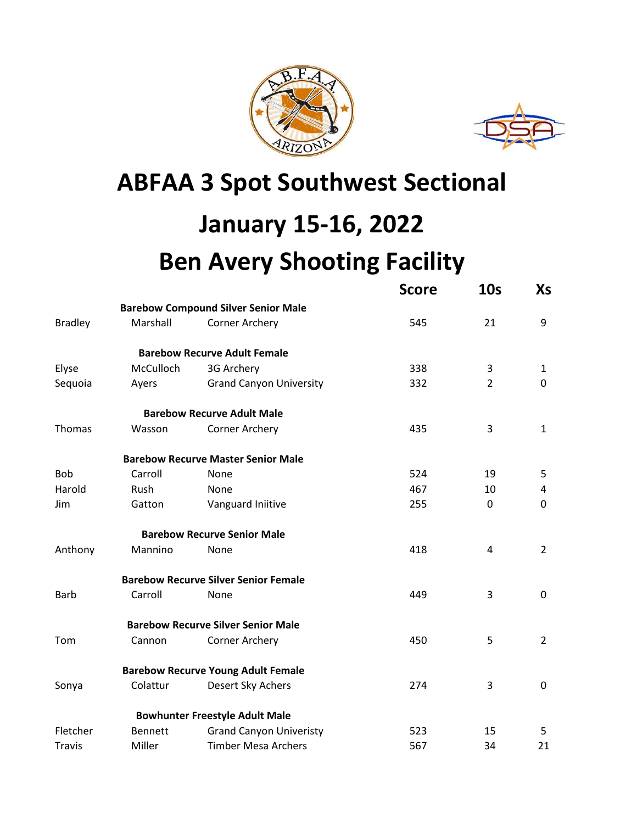



## **ABFAA 3 Spot Southwest Sectional**

## **January 15-16, 2022**

## **Ben Avery Shooting Facility**

|                |                |                                             | <b>Score</b> | 10 <sub>s</sub> | Xs             |
|----------------|----------------|---------------------------------------------|--------------|-----------------|----------------|
|                |                | <b>Barebow Compound Silver Senior Male</b>  |              |                 |                |
| <b>Bradley</b> | Marshall       | <b>Corner Archery</b>                       | 545          | 21              | 9              |
|                |                | <b>Barebow Recurve Adult Female</b>         |              |                 |                |
| Elyse          | McCulloch      | 3G Archery                                  | 338          | 3               | 1              |
| Sequoia        | Ayers          | <b>Grand Canyon University</b>              | 332          | $\overline{2}$  | $\mathbf 0$    |
|                |                | <b>Barebow Recurve Adult Male</b>           |              |                 |                |
| Thomas         | Wasson         | Corner Archery                              | 435          | 3               | $\mathbf{1}$   |
|                |                | <b>Barebow Recurve Master Senior Male</b>   |              |                 |                |
| <b>Bob</b>     | Carroll        | None                                        | 524          | 19              | 5              |
| Harold         | Rush           | None                                        | 467          | 10              | 4              |
| Jim            | Gatton         | Vanguard Iniitive                           | 255          | 0               | 0              |
|                |                | <b>Barebow Recurve Senior Male</b>          |              |                 |                |
| Anthony        | Mannino        | None                                        | 418          | 4               | $\overline{2}$ |
|                |                | <b>Barebow Recurve Silver Senior Female</b> |              |                 |                |
| <b>Barb</b>    | Carroll        | None                                        | 449          | 3               | 0              |
|                |                | <b>Barebow Recurve Silver Senior Male</b>   |              |                 |                |
| Tom            | Cannon         | <b>Corner Archery</b>                       | 450          | 5               | $\overline{2}$ |
|                |                | <b>Barebow Recurve Young Adult Female</b>   |              |                 |                |
| Sonya          | Colattur       | Desert Sky Achers                           | 274          | 3               | $\pmb{0}$      |
|                |                | <b>Bowhunter Freestyle Adult Male</b>       |              |                 |                |
| Fletcher       | <b>Bennett</b> | <b>Grand Canyon Univeristy</b>              | 523          | 15              | 5              |
| <b>Travis</b>  | Miller         | <b>Timber Mesa Archers</b>                  | 567          | 34              | 21             |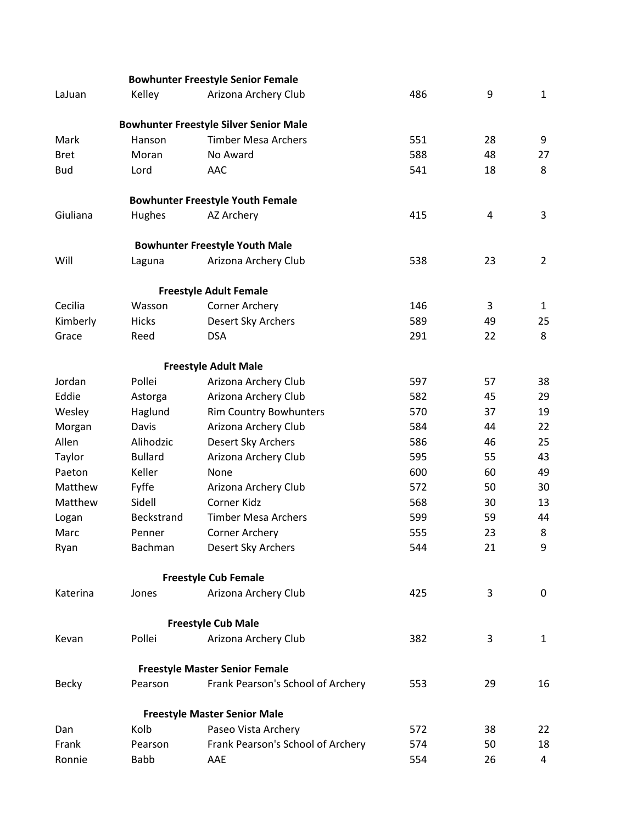|              |                | <b>Bowhunter Freestyle Senior Female</b>      |     |    |                |
|--------------|----------------|-----------------------------------------------|-----|----|----------------|
| LaJuan       | Kelley         | Arizona Archery Club                          | 486 | 9  | $\mathbf{1}$   |
|              |                | <b>Bowhunter Freestyle Silver Senior Male</b> |     |    |                |
| Mark         | Hanson         | <b>Timber Mesa Archers</b>                    | 551 | 28 | 9              |
| <b>Bret</b>  | Moran          | No Award                                      | 588 | 48 | 27             |
| <b>Bud</b>   | Lord           | <b>AAC</b>                                    | 541 | 18 | 8              |
|              |                | <b>Bowhunter Freestyle Youth Female</b>       |     |    |                |
| Giuliana     | Hughes         | AZ Archery                                    | 415 | 4  | 3              |
|              |                | <b>Bowhunter Freestyle Youth Male</b>         |     |    |                |
| Will         | Laguna         | Arizona Archery Club                          | 538 | 23 | $\overline{2}$ |
|              |                | <b>Freestyle Adult Female</b>                 |     |    |                |
| Cecilia      | Wasson         | <b>Corner Archery</b>                         | 146 | 3  | $\mathbf{1}$   |
| Kimberly     | Hicks          | Desert Sky Archers                            | 589 | 49 | 25             |
| Grace        | Reed           | <b>DSA</b>                                    | 291 | 22 | 8              |
|              |                | <b>Freestyle Adult Male</b>                   |     |    |                |
| Jordan       | Pollei         | Arizona Archery Club                          | 597 | 57 | 38             |
| Eddie        | Astorga        | Arizona Archery Club                          | 582 | 45 | 29             |
| Wesley       | Haglund        | Rim Country Bowhunters                        | 570 | 37 | 19             |
| Morgan       | Davis          | Arizona Archery Club                          | 584 | 44 | 22             |
| Allen        | Alihodzic      | Desert Sky Archers                            | 586 | 46 | 25             |
| Taylor       | <b>Bullard</b> | Arizona Archery Club                          | 595 | 55 | 43             |
| Paeton       | Keller         | None                                          | 600 | 60 | 49             |
| Matthew      | Fyffe          | Arizona Archery Club                          | 572 | 50 | 30             |
| Matthew      | Sidell         | Corner Kidz                                   | 568 | 30 | 13             |
| Logan        | Beckstrand     | <b>Timber Mesa Archers</b>                    | 599 | 59 | 44             |
| Marc         | Penner         | <b>Corner Archery</b>                         | 555 | 23 | 8              |
| Ryan         | Bachman        | Desert Sky Archers                            | 544 | 21 | 9              |
|              |                | <b>Freestyle Cub Female</b>                   |     |    |                |
| Katerina     | Jones          | Arizona Archery Club                          | 425 | 3  | 0              |
|              |                | <b>Freestyle Cub Male</b>                     |     |    |                |
| Kevan        | Pollei         | Arizona Archery Club                          | 382 | 3  | $\mathbf{1}$   |
|              |                | <b>Freestyle Master Senior Female</b>         |     |    |                |
| <b>Becky</b> | Pearson        | Frank Pearson's School of Archery             | 553 | 29 | 16             |
|              |                | <b>Freestyle Master Senior Male</b>           |     |    |                |
| Dan          | Kolb           | Paseo Vista Archery                           | 572 | 38 | 22             |
| Frank        | Pearson        | Frank Pearson's School of Archery             | 574 | 50 | 18             |
| Ronnie       | <b>Babb</b>    | AAE                                           | 554 | 26 | 4              |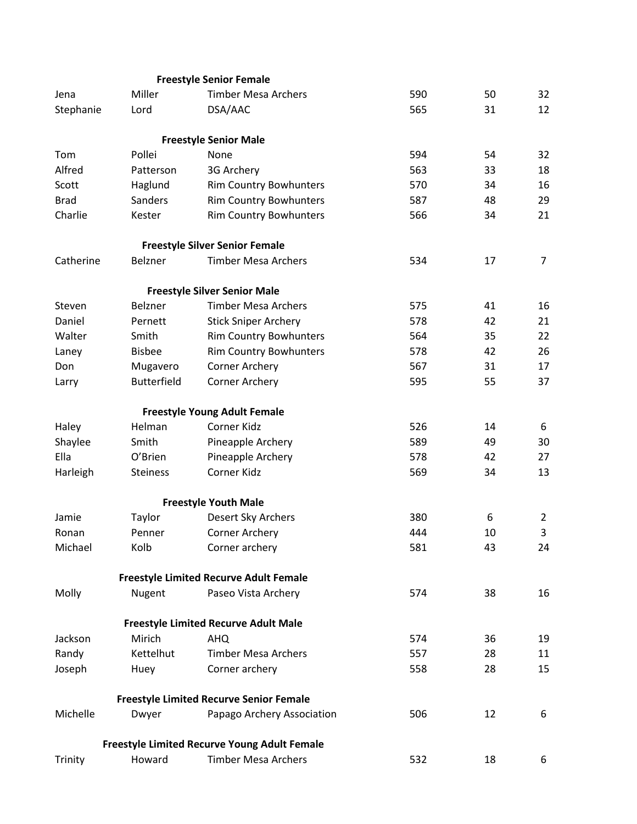|             |                    | <b>Freestyle Senior Female</b>                      |     |    |                |
|-------------|--------------------|-----------------------------------------------------|-----|----|----------------|
| Jena        | Miller             | <b>Timber Mesa Archers</b>                          | 590 | 50 | 32             |
| Stephanie   | Lord               | DSA/AAC                                             | 565 | 31 | 12             |
|             |                    | <b>Freestyle Senior Male</b>                        |     |    |                |
| Tom         | Pollei             | None                                                | 594 | 54 | 32             |
| Alfred      | Patterson          | 3G Archery                                          | 563 | 33 | 18             |
| Scott       | Haglund            | <b>Rim Country Bowhunters</b>                       | 570 | 34 | 16             |
| <b>Brad</b> | <b>Sanders</b>     | <b>Rim Country Bowhunters</b>                       | 587 | 48 | 29             |
| Charlie     | Kester             | <b>Rim Country Bowhunters</b>                       | 566 | 34 | 21             |
|             |                    | <b>Freestyle Silver Senior Female</b>               |     |    |                |
| Catherine   | <b>Belzner</b>     | <b>Timber Mesa Archers</b>                          | 534 | 17 | $\overline{7}$ |
|             |                    | <b>Freestyle Silver Senior Male</b>                 |     |    |                |
| Steven      | Belzner            | <b>Timber Mesa Archers</b>                          | 575 | 41 | 16             |
| Daniel      | Pernett            | <b>Stick Sniper Archery</b>                         | 578 | 42 | 21             |
| Walter      | Smith              | <b>Rim Country Bowhunters</b>                       | 564 | 35 | 22             |
| Laney       | <b>Bisbee</b>      | <b>Rim Country Bowhunters</b>                       | 578 | 42 | 26             |
| Don         | Mugavero           | Corner Archery                                      | 567 | 31 | 17             |
| Larry       | <b>Butterfield</b> | Corner Archery                                      | 595 | 55 | 37             |
|             |                    | <b>Freestyle Young Adult Female</b>                 |     |    |                |
| Haley       | Helman             | Corner Kidz                                         | 526 | 14 | 6              |
| Shaylee     | Smith              | Pineapple Archery                                   | 589 | 49 | 30             |
| Ella        | O'Brien            | Pineapple Archery                                   | 578 | 42 | 27             |
| Harleigh    | <b>Steiness</b>    | Corner Kidz                                         | 569 | 34 | 13             |
|             |                    | <b>Freestyle Youth Male</b>                         |     |    |                |
| Jamie       | Taylor             | Desert Sky Archers                                  | 380 | 6  | $\overline{2}$ |
| Ronan       | Penner             | <b>Corner Archery</b>                               | 444 | 10 | 3              |
| Michael     | Kolb               | Corner archery                                      | 581 | 43 | 24             |
|             |                    | <b>Freestyle Limited Recurve Adult Female</b>       |     |    |                |
| Molly       | Nugent             | Paseo Vista Archery                                 | 574 | 38 | 16             |
|             |                    | <b>Freestyle Limited Recurve Adult Male</b>         |     |    |                |
| Jackson     | Mirich             | <b>AHQ</b>                                          | 574 | 36 | 19             |
| Randy       | Kettelhut          | <b>Timber Mesa Archers</b>                          | 557 | 28 | 11             |
| Joseph      | Huey               | Corner archery                                      | 558 | 28 | 15             |
|             |                    | <b>Freestyle Limited Recurve Senior Female</b>      |     |    |                |
| Michelle    | Dwyer              | Papago Archery Association                          | 506 | 12 | 6              |
|             |                    | <b>Freestyle Limited Recurve Young Adult Female</b> |     |    |                |
| Trinity     | Howard             | <b>Timber Mesa Archers</b>                          | 532 | 18 | 6              |